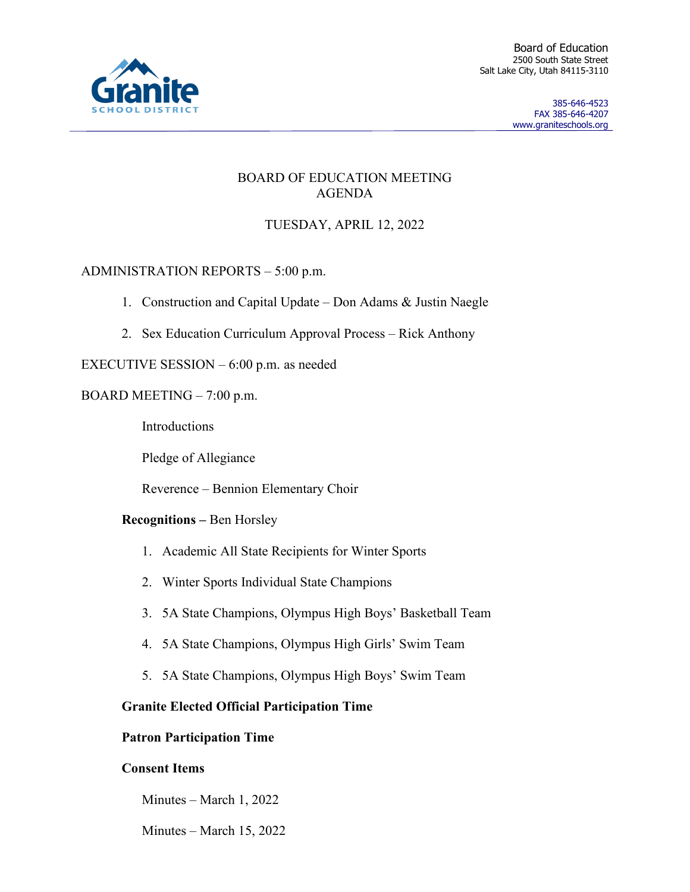

### BOARD OF EDUCATION MEETING AGENDA

# TUESDAY, APRIL 12, 2022

# ADMINISTRATION REPORTS – 5:00 p.m.

- 1. Construction and Capital Update Don Adams & Justin Naegle
- 2. Sex Education Curriculum Approval Process Rick Anthony

## EXECUTIVE SESSION – 6:00 p.m. as needed

## BOARD MEETING – 7:00 p.m.

Introductions

Pledge of Allegiance

Reverence – Bennion Elementary Choir

### **Recognitions –** Ben Horsley

- 1. Academic All State Recipients for Winter Sports
- 2. Winter Sports Individual State Champions
- 3. 5A State Champions, Olympus High Boys' Basketball Team
- 4. 5A State Champions, Olympus High Girls' Swim Team
- 5. 5A State Champions, Olympus High Boys' Swim Team

### **Granite Elected Official Participation Time**

### **Patron Participation Time**

### **Consent Items**

Minutes – March 1, 2022

Minutes – March 15, 2022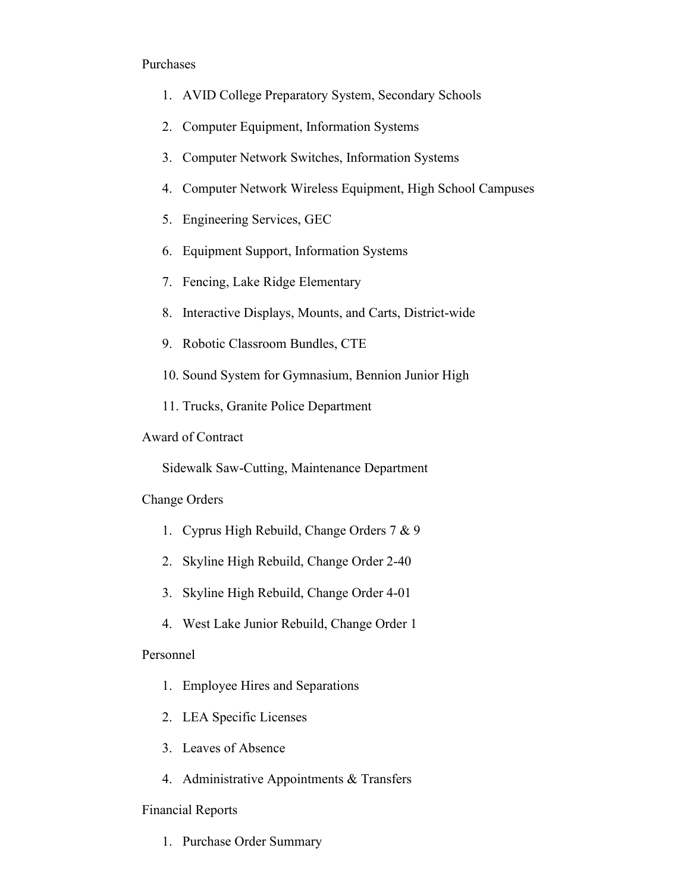#### Purchases

- 1. AVID College Preparatory System, Secondary Schools
- 2. Computer Equipment, Information Systems
- 3. Computer Network Switches, Information Systems
- 4. Computer Network Wireless Equipment, High School Campuses
- 5. Engineering Services, GEC
- 6. Equipment Support, Information Systems
- 7. Fencing, Lake Ridge Elementary
- 8. Interactive Displays, Mounts, and Carts, District-wide
- 9. Robotic Classroom Bundles, CTE
- 10. Sound System for Gymnasium, Bennion Junior High
- 11. Trucks, Granite Police Department

#### Award of Contract

Sidewalk Saw-Cutting, Maintenance Department

Change Orders

- 1. Cyprus High Rebuild, Change Orders 7 & 9
- 2. Skyline High Rebuild, Change Order 2-40
- 3. Skyline High Rebuild, Change Order 4-01
- 4. West Lake Junior Rebuild, Change Order 1

#### Personnel

- 1. Employee Hires and Separations
- 2. LEA Specific Licenses
- 3. Leaves of Absence
- 4. Administrative Appointments & Transfers

#### Financial Reports

1. Purchase Order Summary